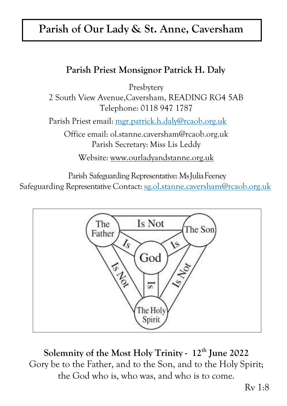# **Parish of Our Lady & St. Anne, Caversham**

## **Parish Priest Monsignor Patrick H. Daly**

Presbytery

2 South View Avenue,Caversham, READING RG4 5AB Telephone: 0118 947 1787

Parish Priest email: [mgr.patrick.h.daly@rcaob.org.uk](mailto:mgr.patrick.h.daly@rcaob.org.uk)

Office email: [ol.stanne.caversham@rcaob.org.uk](mailto:ol.stanne.caversham@rcaob.org.uk) Parish Secretary: Miss Lis Leddy

Website: [www.ourladyandstanne.org.uk](http://www.ourladyandstanne.org.uk/)

Parish Safeguarding Representative: MsJuliaFeeney Safeguarding Representative Contact: [sg.ol.stanne.caversham@rcaob.org.uk](mailto:sg.ol.stanne.caversham@rcaob.org.uk)



**Solemnity of the Most Holy Trinity - 12th June 2022** Gory be to the Father, and to the Son, and to the Holy Spirit; the God who is, who was, and who is to come.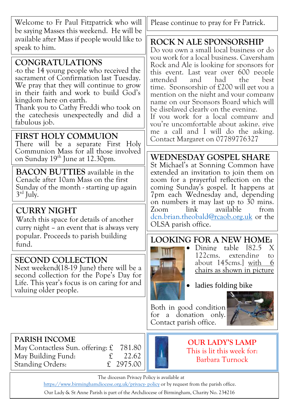| Welcome to Fr Paul Fitzpatrick who will<br>be saying Masses this weekend. He will be                                                                                                                                                                                                                                           | Please continue to pray for Fr Patrick.                                                                                                                                                                                                                                                                                                                                                                                                                                                                  |  |  |  |
|--------------------------------------------------------------------------------------------------------------------------------------------------------------------------------------------------------------------------------------------------------------------------------------------------------------------------------|----------------------------------------------------------------------------------------------------------------------------------------------------------------------------------------------------------------------------------------------------------------------------------------------------------------------------------------------------------------------------------------------------------------------------------------------------------------------------------------------------------|--|--|--|
| available after Mass if people would like to<br>speak to him.                                                                                                                                                                                                                                                                  | <b>ROCK N ALE SPONSORSHIP</b><br>Do vou own a small local business or do                                                                                                                                                                                                                                                                                                                                                                                                                                 |  |  |  |
| <b>CONGRATULATIONS</b><br>to the 14 young people who received the<br>sacrament of Confirmation last Tuesday.<br>We pray that they will continue to grow<br>in their faith and work to build God's<br>kingdom here on earth.<br>Thank you to Cathy Freddi who took on<br>the catechesis unexpectedly and did a<br>fabulous job. | vou work for a local business. Caversham<br>Rock and Ale is looking for sponsors for<br>this event. Last vear over 600 people<br>had<br>attended<br>and<br>the<br>best<br>time. Sponsorship of £200 will get you a<br>mention on the night and your company<br>name on our Sponsors Board which will<br>be displayed clearly on the evening.<br>If you work for a local company and<br>vou're uncomfortable about asking, give<br>me a call and I will do the asking.<br>Contact Margaret on 07789776327 |  |  |  |
| FIRST HOLY COMMUION<br>There will be a separate First Holy                                                                                                                                                                                                                                                                     |                                                                                                                                                                                                                                                                                                                                                                                                                                                                                                          |  |  |  |
| Communion Mass for all those involved<br>on Sunday 19 <sup>th</sup> June at 12.30pm.                                                                                                                                                                                                                                           | WEDNESDAY GOSPEL SHARE                                                                                                                                                                                                                                                                                                                                                                                                                                                                                   |  |  |  |
| <b>BACON BUTTIES</b> available in the<br>Cenacle after 10am Mass on the first<br>Sunday of the month - starting up again<br>$3rd$ July.                                                                                                                                                                                        | St Michael's at Sonning Common have<br>extended an invitation to join them on<br>zoom for a prayerful reflection on the<br>coming Sunday's gospel. It happens at<br>7pm each Wednesday and, depending<br>on numbers it may last up to 30 mins.<br>link<br>available<br>from<br>Zoom<br>dcn.brian.theobald@rcaob.org.uk or the<br>OLSA parish office.                                                                                                                                                     |  |  |  |
| <b>CURRY NIGHT</b><br>Watch this space for details of another<br>curry night – an event that is always very                                                                                                                                                                                                                    |                                                                                                                                                                                                                                                                                                                                                                                                                                                                                                          |  |  |  |
| popular. Proceeds to parish building<br>fund.                                                                                                                                                                                                                                                                                  | LOOKING FOR A NEW HOME:<br>table 182.5<br>Dining<br>X                                                                                                                                                                                                                                                                                                                                                                                                                                                    |  |  |  |
| <b>SECOND COLLECTION</b><br>Next weekend(18-19 June) there will be a<br>second collection for the Pope's Day for                                                                                                                                                                                                               | 122cms. extending<br>to<br>about 145cms. with<br><u>6</u><br>chairs as shown in picture                                                                                                                                                                                                                                                                                                                                                                                                                  |  |  |  |
| Life. This year's focus is on caring for and<br>valuing older people.                                                                                                                                                                                                                                                          | ladies folding bike                                                                                                                                                                                                                                                                                                                                                                                                                                                                                      |  |  |  |
|                                                                                                                                                                                                                                                                                                                                | Both in good condition<br>for a donation only.<br>Contact parish office.                                                                                                                                                                                                                                                                                                                                                                                                                                 |  |  |  |
| <b>PARISH INCOME</b><br>May Contactless Sun. offering: $\mathfrak L$<br>781.80<br>22.62<br>May Building Fund:<br>$\mathbf f$<br>$\mathfrak{L}$<br>2975.00<br><b>Standing Orders:</b>                                                                                                                                           | <b>OUR LADY'S LAMP</b><br>This is lit this week for:<br>Barbara Turnock                                                                                                                                                                                                                                                                                                                                                                                                                                  |  |  |  |
| The diocesan Privacy Policy is available at<br>https://www.birminghamdiocese.org.uk/privacy-policy or by request from the parish office.                                                                                                                                                                                       |                                                                                                                                                                                                                                                                                                                                                                                                                                                                                                          |  |  |  |
|                                                                                                                                                                                                                                                                                                                                |                                                                                                                                                                                                                                                                                                                                                                                                                                                                                                          |  |  |  |

Our Lady & St Anne Parish is part of the Archdiocese of Birmingham, Charity No. 234216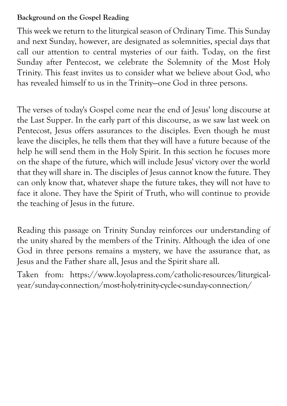#### **Background on the Gospel Reading**

This week we return to the liturgical season of Ordinary Time. This Sunday and next Sunday, however, are designated as solemnities, special days that call our attention to central mysteries of our faith. Today, on the first Sunday after Pentecost, we celebrate the Solemnity of the Most Holy Trinity. This feast invites us to consider what we believe about God, who has revealed himself to us in the Trinity—one God in three persons.

The verses of today's Gospel come near the end of Jesus' long discourse at the Last Supper. In the early part of this discourse, as we saw last week on Pentecost, Jesus offers assurances to the disciples. Even though he must leave the disciples, he tells them that they will have a future because of the help he will send them in the Holy Spirit. In this section he focuses more on the shape of the future, which will include Jesus' victory over the world that they will share in. The disciples of Jesus cannot know the future. They can only know that, whatever shape the future takes, they will not have to face it alone. They have the Spirit of Truth, who will continue to provide the teaching of Jesus in the future.

Reading this passage on Trinity Sunday reinforces our understanding of the unity shared by the members of the Trinity. Although the idea of one God in three persons remains a mystery, we have the assurance that, as Jesus and the Father share all, Jesus and the Spirit share all.

Taken from: https://www.loyolapress.com/catholic-resources/liturgicalyear/sunday-connection/most-holy-trinity-cycle-c-sunday-connection/